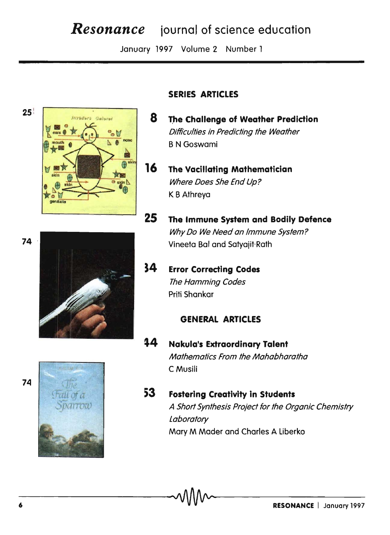# **Resonance** journal of science education

January 1997 Volume 2 Number 1







### **SERIES ARTICLES**

- 8 The Challenge of Weather Prediction Difficulties in Predicting the Weather **B N Goswami**
- $16<sub>1</sub>$ **The Vacillating Mathematician** Where Does She End Up? K B Athreya
- 25 The Immune System and Bodily Defence Why Do We Need an Immune System? Vineeta Bal and Satyajit Rath
- 34 **Error Correcting Codes** The Hamming Codes Priti Shankar

#### **GENERAL ARTICLES**

- Nakula's Extraordinary Talent 14 Mathematics From the Mahabharatha C Musili
- 53 **Fostering Creativity in Students** A Short Synthesis Project for the Organic Chemistry Laboratory Mary M Mader and Charles A Liberko

74

74